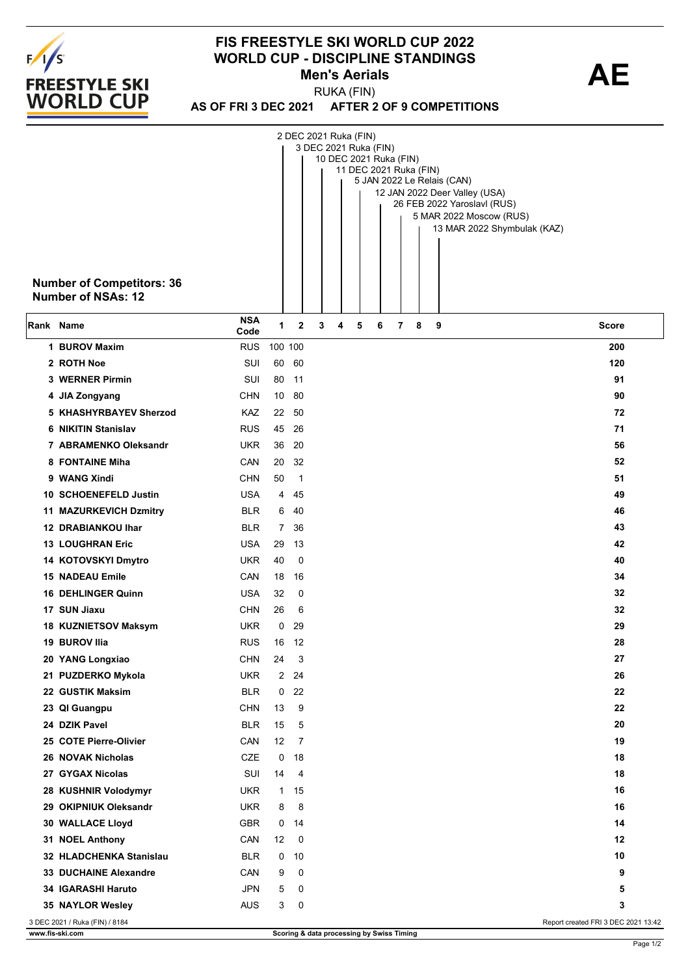

## **FIS FREESTYLE SKI WORLD CUP 2022 WORLD CUP - DISCIPLINE STANDINGS<br>Men's Aerials Action AE Men's Aerials**

**AS OF FRI 3 DEC 2021 AFTER 2 OF 9 COMPETITIONS** RUKA (FIN)

|           | <b>Number of Competitors: 36</b><br><b>Number of NSAs: 12</b> |                    |             |              | 2 DEC 2021 Ruka (FIN)<br>3 DEC 2021 Ruka (FIN)<br>10 DEC 2021 Ruka (FIN)<br>11 DEC 2021 Ruka (FIN)<br>5 JAN 2022 Le Relais (CAN)<br>12 JAN 2022 Deer Valley (USA)<br>26 FEB 2022 Yaroslavl (RUS)<br>5 MAR 2022 Moscow (RUS)<br>13 MAR 2022 Shymbulak (KAZ) |                                     |
|-----------|---------------------------------------------------------------|--------------------|-------------|--------------|------------------------------------------------------------------------------------------------------------------------------------------------------------------------------------------------------------------------------------------------------------|-------------------------------------|
| Rank Name |                                                               | <b>NSA</b><br>Code | 1           | $\mathbf{2}$ | 7<br>3<br>4<br>5<br>6<br>8<br>9                                                                                                                                                                                                                            | <b>Score</b>                        |
|           | 1 BUROV Maxim                                                 | <b>RUS</b>         | 100 100     |              |                                                                                                                                                                                                                                                            | 200                                 |
|           | 2 ROTH Noe                                                    | SUI                | 60          | 60           |                                                                                                                                                                                                                                                            | 120                                 |
|           | 3 WERNER Pirmin                                               | SUI                | 80          | - 11         |                                                                                                                                                                                                                                                            | 91                                  |
|           | 4 JIA Zongyang                                                | <b>CHN</b>         | 10          | 80           |                                                                                                                                                                                                                                                            | 90                                  |
|           | 5 KHASHYRBAYEV Sherzod                                        | KAZ                | 22          | 50           |                                                                                                                                                                                                                                                            | 72                                  |
|           | 6 NIKITIN Stanislav                                           | <b>RUS</b>         | 45          | 26           |                                                                                                                                                                                                                                                            | 71                                  |
|           | 7 ABRAMENKO Oleksandr                                         | <b>UKR</b>         | 36          | 20           |                                                                                                                                                                                                                                                            | 56                                  |
|           | <b>8 FONTAINE Miha</b>                                        | CAN                | 20          | 32           |                                                                                                                                                                                                                                                            | 52                                  |
|           | 9 WANG Xindi                                                  | <b>CHN</b>         | 50          | 1            |                                                                                                                                                                                                                                                            | 51                                  |
|           | 10 SCHOENEFELD Justin                                         | <b>USA</b>         | 4           | 45           |                                                                                                                                                                                                                                                            | 49                                  |
|           | 11 MAZURKEVICH Dzmitry                                        | <b>BLR</b>         | 6           | 40           |                                                                                                                                                                                                                                                            | 46                                  |
|           | <b>12 DRABIANKOU Ihar</b>                                     | <b>BLR</b>         | $7^{\circ}$ | 36           |                                                                                                                                                                                                                                                            | 43                                  |
|           | <b>13 LOUGHRAN Eric</b>                                       | <b>USA</b>         | 29          | 13           |                                                                                                                                                                                                                                                            | 42                                  |
|           | 14 KOTOVSKYI Dmytro                                           | <b>UKR</b>         | 40          | 0            |                                                                                                                                                                                                                                                            | 40                                  |
|           | <b>15 NADEAU Emile</b>                                        | CAN                | 18          | 16           |                                                                                                                                                                                                                                                            | 34                                  |
|           | <b>16 DEHLINGER Quinn</b>                                     | <b>USA</b>         | 32          | 0            |                                                                                                                                                                                                                                                            | 32                                  |
|           | 17 SUN Jiaxu                                                  | <b>CHN</b>         | 26          | 6            |                                                                                                                                                                                                                                                            | 32                                  |
|           | 18 KUZNIETSOV Maksym                                          | <b>UKR</b>         | 0           | 29           |                                                                                                                                                                                                                                                            | 29                                  |
|           | 19 BUROV Ilia                                                 | <b>RUS</b>         | 16          | -12          |                                                                                                                                                                                                                                                            | 28                                  |
|           | 20 YANG Longxiao                                              | <b>CHN</b>         | 24          | 3            |                                                                                                                                                                                                                                                            | 27                                  |
|           | 21 PUZDERKO Mykola                                            | <b>UKR</b>         | 2           | 24           |                                                                                                                                                                                                                                                            | 26                                  |
|           | 22 GUSTIK Maksim                                              | <b>BLR</b>         | 0           | 22           |                                                                                                                                                                                                                                                            | 22                                  |
|           | 23 QI Guangpu                                                 | <b>CHN</b>         | 13          | 9            |                                                                                                                                                                                                                                                            | 22                                  |
|           | 24 DZIK Pavel                                                 | <b>BLR</b>         | 15          | 5            |                                                                                                                                                                                                                                                            | 20                                  |
|           | 25 COTE Pierre-Olivier                                        | CAN                | 12          | 7            |                                                                                                                                                                                                                                                            | 19                                  |
|           | 26 NOVAK Nicholas                                             | CZE                | 0           | 18           |                                                                                                                                                                                                                                                            | 18                                  |
|           | 27 GYGAX Nicolas                                              | SUI                | 14          | 4            |                                                                                                                                                                                                                                                            | 18                                  |
|           | 28 KUSHNIR Volodymyr                                          | <b>UKR</b>         | 1           | 15           |                                                                                                                                                                                                                                                            | 16                                  |
|           | 29 OKIPNIUK Oleksandr                                         | <b>UKR</b>         | 8           | 8            |                                                                                                                                                                                                                                                            | 16                                  |
|           | 30 WALLACE Lloyd                                              | GBR                | 0           | 14           |                                                                                                                                                                                                                                                            | 14                                  |
|           | 31 NOEL Anthony                                               | CAN                | 12          | 0            |                                                                                                                                                                                                                                                            | 12                                  |
|           | 32 HLADCHENKA Stanislau                                       | <b>BLR</b>         | 0           | 10           |                                                                                                                                                                                                                                                            | 10                                  |
|           | 33 DUCHAINE Alexandre                                         | CAN                | 9           | 0            |                                                                                                                                                                                                                                                            | 9                                   |
|           | 34 IGARASHI Haruto                                            | <b>JPN</b>         | 5           | 0            |                                                                                                                                                                                                                                                            | 5                                   |
|           | 35 NAYLOR Wesley                                              | <b>AUS</b>         | 3           | 0            |                                                                                                                                                                                                                                                            | 3                                   |
|           | 3 DEC 2021 / Ruka (FIN) / 8184                                |                    |             |              |                                                                                                                                                                                                                                                            | Report created FRI 3 DEC 2021 13:42 |